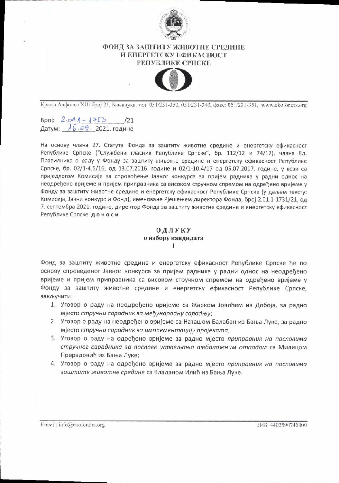

## ФОНД ЗА ЗАШТИТУ ЖИВОТНЕ СРЕДИНЕ И ЕНЕРГЕТСКУ ЕФИКАСНОСТ РЕПУБЛИКЕ СРПСКЕ



Краља Алфонса XIII број 21, Бањалука, тел: 051/231-350, 051/231-340, факс: 051/231-351, www.ekofondrs.org

 $5\pi$ i:  $2.01.1 - 175$  /21 Датум: 16.09. 2021. године

На основу члана 27. Статута Фонда за заштиту животне средине и енергетску ефикасност Републике Српске ("Службени гласник Републике Српске", бр. 112/12 и 74/17), члана 8д. Правилника о раду у Фонду за заштиту животне средине и енергетску ефикасност Републике Српске, бр. 02/1-4.5/16, од 13.07.2016. године и 02/1-10.4/17 од 05.07.2017. године, у вези са приједлогом Комисије за спровођење Јавног конкурса за пријем радника у радни однос на неодређено вријеме и пријем приправника са високом стручном спремом на одређено вријеме у Фонду за заштиту животне средине и енергетску ефикасност Републике Српске (у даљем тексту: Комисија, Јавни конкурс и Фонд), именоване Рјешењем директора Фонда, број 2.01.1-1731/21, од 7. септембра 2021. године, директор Фонда за заштиту животне средине и енергетску ефикасност Републике Српске доноси

## ОДЛУКУ о избору кандидата I.

Фонд за заштиту животне средине и енергетску ефикасност Републике Српске ће по основу спроведеног Јавног конкурса за пријем радника у радни однос на неодређено вријеме и пријем приправника са високом стручном спремом на одређено вријеме у Фонду за заштиту животне средине и енергетску ефикасност Републике Српске, закључити:

- 1. Уговор о раду на неодређено вријеме са Жарком Јовићем из Добоја, за радно мјесто стручни сарадник за међународну сарадњу;
- 2. Уговор о раду на неодређено вријеме са Наташом Балабан из Бања Луке, за радно мјесто стручни сарадник за имплементацију пројеката;
- 3. Уговор о раду на одређено вријеме за радно мјесто приправник на пословима стручног сарадника за послове управљања амбалажним отпадом са Милицом Прерадовић из Бања Луке;
- 4. Уговор о раду на одређено вријеме за радно мјесто приправник на пословима заштите животне средине са Владаном Илић из Бања Луке.

E-mail: info@ekofondrs.org

ЈИБ: 4402590740000